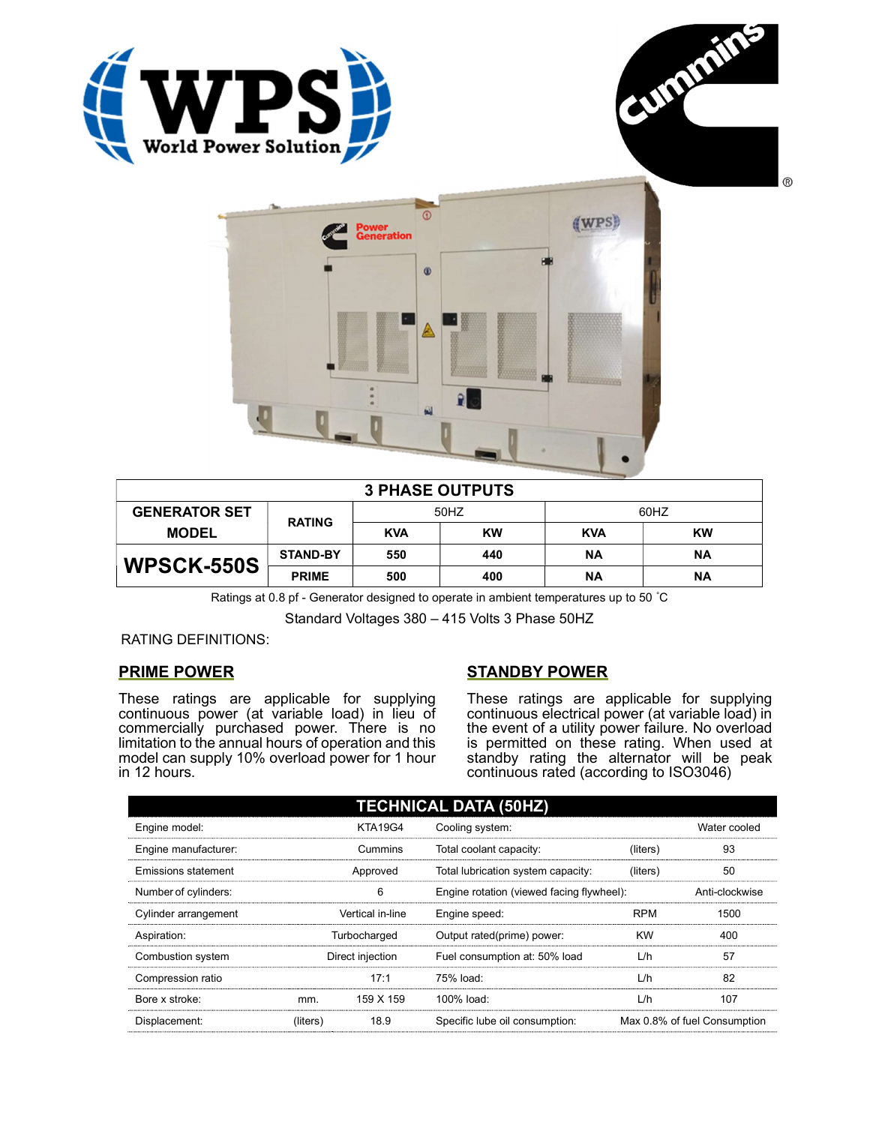





| <b>3 PHASE OUTPUTS</b> |                 |            |           |            |           |  |
|------------------------|-----------------|------------|-----------|------------|-----------|--|
| <b>GENERATOR SET</b>   | <b>RATING</b>   | 50HZ       |           | 60HZ       |           |  |
| <b>MODEL</b>           |                 | <b>KVA</b> | <b>KW</b> | <b>KVA</b> | <b>KW</b> |  |
| <b>WPSCK-550S</b>      | <b>STAND-BY</b> | 550        | 440       | ΝA         | ΝA        |  |
|                        | <b>PRIME</b>    | 500        | 400       | ΝA         | ΝA        |  |

Ratings at 0.8 pf - Generator designed to operate in ambient temperatures up to 50 °C

Standard Voltages 380 – 415 Volts 3 Phase 50HZ

RATING DEFINITIONS:

## PRIME POWER

These ratings are applicable for supplying continuous power (at variable load) in lieu of commercially purchased power. There is no limitation to the annual hours of operation and this model can supply 10% overload power for 1 hour in 12 hours.

## STANDBY POWER

These ratings are applicable for supplying continuous electrical power (at variable load) in the event of a utility power failure. No overload is permitted on these rating. When used at standby rating the alternator will be peak continuous rated (according to ISO3046)

| <b>TECHNICAL DATA (50HZ)</b> |                  |                |                                           |            |                              |  |  |
|------------------------------|------------------|----------------|-------------------------------------------|------------|------------------------------|--|--|
| Engine model:                |                  | <b>KTA19G4</b> | Cooling system:                           |            | Water cooled                 |  |  |
| Engine manufacturer:         |                  | Cummins        | Total coolant capacity:                   | (liters)   | 93                           |  |  |
| <b>Emissions statement</b>   | Approved         |                | Total lubrication system capacity:        | (liters)   | 50                           |  |  |
| Number of cylinders:         | 6                |                | Engine rotation (viewed facing flywheel): |            | Anti-clockwise               |  |  |
| Cylinder arrangement         | Vertical in-line |                | Engine speed:                             | <b>RPM</b> | 1500                         |  |  |
| Aspiration:                  | Turbocharged     |                | Output rated(prime) power:                | <b>KW</b>  | 400                          |  |  |
| Combustion system            | Direct injection |                | Fuel consumption at: 50% load             | L/h        | 57                           |  |  |
| Compression ratio            |                  | 17:1           | 75% load:                                 | L/h        | 82                           |  |  |
| Bore x stroke:               | mm.              | 159 X 159      | $100\%$ load:                             | L/h        | 107                          |  |  |
| Displacement:                | (liters)         | 18.9           | Specific lube oil consumption:            |            | Max 0.8% of fuel Consumption |  |  |